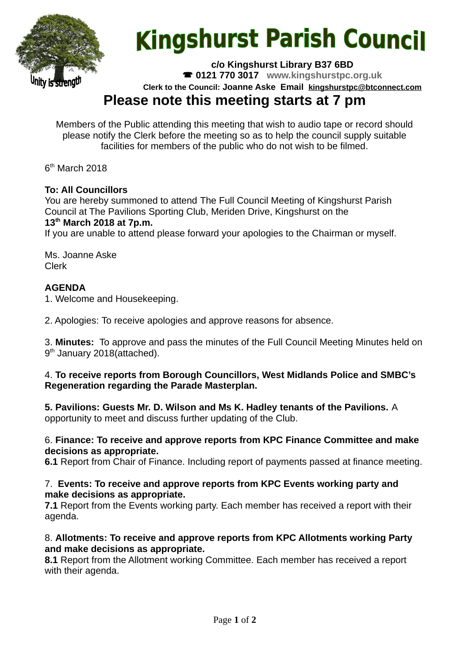

# **Kingshurst Parish Council**

**c/o Kingshurst Library B37 6BD**

**0121 770 3017 www.kingshurstpc.org.uk**

**Clerk to the Council: Joanne Aske Email [kingshurstpc@btconnect.com](mailto:kingshurstpc@btconnect.com)**

# **Please note this meeting starts at 7 pm**

Members of the Public attending this meeting that wish to audio tape or record should please notify the Clerk before the meeting so as to help the council supply suitable facilities for members of the public who do not wish to be filmed.

6<sup>th</sup> March 2018

# **To: All Councillors**

You are hereby summoned to attend The Full Council Meeting of Kingshurst Parish Council at The Pavilions Sporting Club, Meriden Drive, Kingshurst on the **13th March 2018 at 7p.m.**

If you are unable to attend please forward your apologies to the Chairman or myself.

Ms. Joanne Aske Clerk

# **AGENDA**

1. Welcome and Housekeeping.

2. Apologies: To receive apologies and approve reasons for absence.

3. **Minutes:** To approve and pass the minutes of the Full Council Meeting Minutes held on 9<sup>th</sup> January 2018(attached).

## 4. **To receive reports from Borough Councillors, West Midlands Police and SMBC's Regeneration regarding the Parade Masterplan.**

**5. Pavilions: Guests Mr. D. Wilson and Ms K. Hadley tenants of the Pavilions.** A opportunity to meet and discuss further updating of the Club.

#### 6. **Finance: To receive and approve reports from KPC Finance Committee and make decisions as appropriate.**

**6.1** Report from Chair of Finance. Including report of payments passed at finance meeting.

#### 7. **Events: To receive and approve reports from KPC Events working party and make decisions as appropriate.**

**7.1** Report from the Events working party. Each member has received a report with their agenda.

## 8. **Allotments: To receive and approve reports from KPC Allotments working Party and make decisions as appropriate.**

**8.1** Report from the Allotment working Committee. Each member has received a report with their agenda.